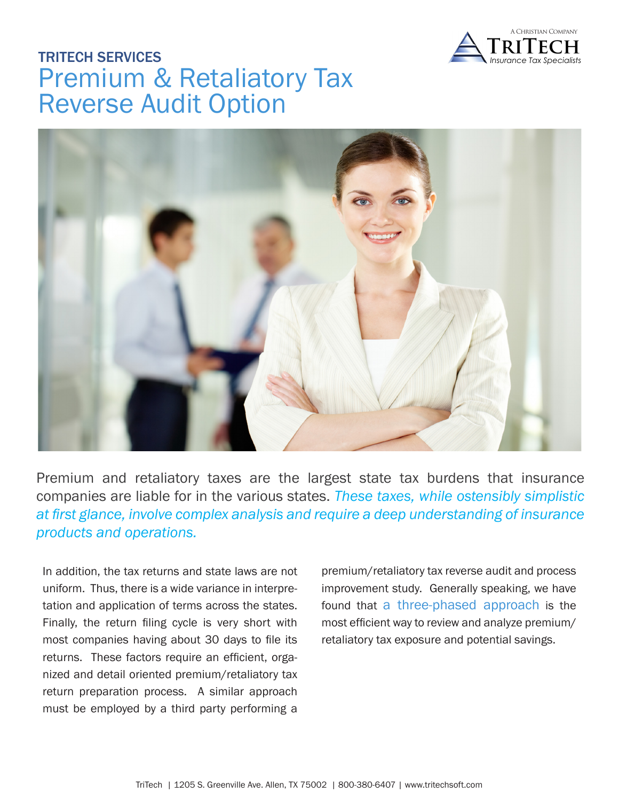

# TRITECH SERVICES Premium & Retaliatory Tax Reverse Audit Option



Premium and retaliatory taxes are the largest state tax burdens that insurance companies are liable for in the various states. *These taxes, while ostensibly simplistic at first glance, involve complex analysis and require a deep understanding of insurance products and operations.* 

In addition, the tax returns and state laws are not uniform. Thus, there is a wide variance in interpretation and application of terms across the states. Finally, the return filing cycle is very short with most companies having about 30 days to file its returns. These factors require an efficient, organized and detail oriented premium/retaliatory tax return preparation process. A similar approach must be employed by a third party performing a

premium/retaliatory tax reverse audit and process improvement study. Generally speaking, we have found that a three-phased approach is the most efficient way to review and analyze premium/ retaliatory tax exposure and potential savings.